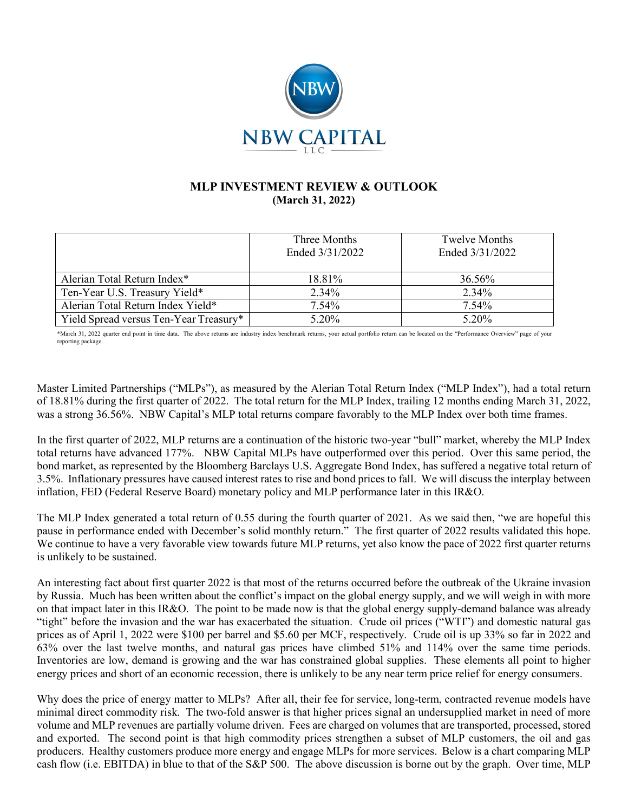

## **MLP INVESTMENT REVIEW & OUTLOOK (March 31, 2022)**

|                                        | Three Months<br>Ended 3/31/2022 | Twelve Months<br>Ended 3/31/2022 |
|----------------------------------------|---------------------------------|----------------------------------|
| Alerian Total Return Index*            | 18.81%                          | 36.56%                           |
| Ten-Year U.S. Treasury Yield*          | 2.34%                           | 2.34%                            |
| Alerian Total Return Index Yield*      | $7.54\%$                        | 7.54%                            |
| Yield Spread versus Ten-Year Treasury* | 5.20%                           | 5.20%                            |

\*March 31, 2022 quarter end point in time data. The above returns are industry index benchmark returns, your actual portfolio return can be located on the "Performance Overview" page of your reporting package.

Master Limited Partnerships ("MLPs"), as measured by the Alerian Total Return Index ("MLP Index"), had a total return of 18.81% during the first quarter of 2022. The total return for the MLP Index, trailing 12 months ending March 31, 2022, was a strong 36.56%. NBW Capital's MLP total returns compare favorably to the MLP Index over both time frames.

In the first quarter of 2022, MLP returns are a continuation of the historic two-year "bull" market, whereby the MLP Index total returns have advanced 177%. NBW Capital MLPs have outperformed over this period. Over this same period, the bond market, as represented by the Bloomberg Barclays U.S. Aggregate Bond Index, has suffered a negative total return of 3.5%. Inflationary pressures have caused interest rates to rise and bond prices to fall. We will discuss the interplay between inflation, FED (Federal Reserve Board) monetary policy and MLP performance later in this IR&O.

The MLP Index generated a total return of 0.55 during the fourth quarter of 2021. As we said then, "we are hopeful this pause in performance ended with December's solid monthly return." The first quarter of 2022 results validated this hope. We continue to have a very favorable view towards future MLP returns, yet also know the pace of 2022 first quarter returns is unlikely to be sustained.

An interesting fact about first quarter 2022 is that most of the returns occurred before the outbreak of the Ukraine invasion by Russia. Much has been written about the conflict's impact on the global energy supply, and we will weigh in with more on that impact later in this IR&O. The point to be made now is that the global energy supply-demand balance was already "tight" before the invasion and the war has exacerbated the situation. Crude oil prices ("WTI") and domestic natural gas prices as of April 1, 2022 were \$100 per barrel and \$5.60 per MCF, respectively. Crude oil is up 33% so far in 2022 and 63% over the last twelve months, and natural gas prices have climbed 51% and 114% over the same time periods. Inventories are low, demand is growing and the war has constrained global supplies. These elements all point to higher energy prices and short of an economic recession, there is unlikely to be any near term price relief for energy consumers.

Why does the price of energy matter to MLPs? After all, their fee for service, long-term, contracted revenue models have minimal direct commodity risk. The two-fold answer is that higher prices signal an undersupplied market in need of more volume and MLP revenues are partially volume driven. Fees are charged on volumes that are transported, processed, stored and exported. The second point is that high commodity prices strengthen a subset of MLP customers, the oil and gas producers. Healthy customers produce more energy and engage MLPs for more services. Below is a chart comparing MLP cash flow (i.e. EBITDA) in blue to that of the S&P 500. The above discussion is borne out by the graph. Over time, MLP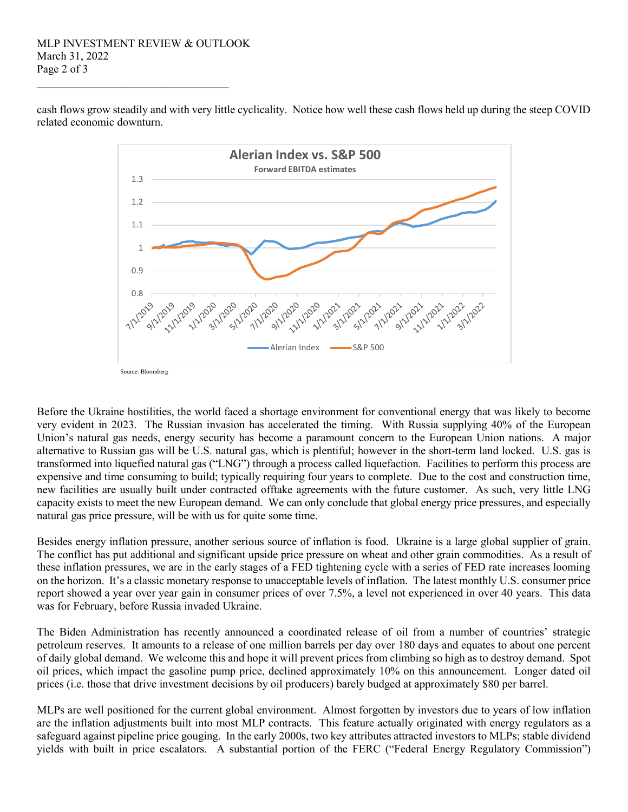## MLP INVESTMENT REVIEW & OUTLOOK March 31, 2022 Page 2 of 3

\_\_\_\_\_\_\_\_\_\_\_\_\_\_\_\_\_\_\_\_\_\_\_\_\_\_\_\_\_\_\_\_\_\_



cash flows grow steadily and with very little cyclicality. Notice how well these cash flows held up during the steep COVID related economic downturn.

Before the Ukraine hostilities, the world faced a shortage environment for conventional energy that was likely to become very evident in 2023. The Russian invasion has accelerated the timing. With Russia supplying 40% of the European Union's natural gas needs, energy security has become a paramount concern to the European Union nations. A major alternative to Russian gas will be U.S. natural gas, which is plentiful; however in the short-term land locked. U.S. gas is transformed into liquefied natural gas ("LNG") through a process called liquefaction. Facilities to perform this process are expensive and time consuming to build; typically requiring four years to complete. Due to the cost and construction time, new facilities are usually built under contracted offtake agreements with the future customer. As such, very little LNG capacity exists to meet the new European demand. We can only conclude that global energy price pressures, and especially natural gas price pressure, will be with us for quite some time.

Besides energy inflation pressure, another serious source of inflation is food. Ukraine is a large global supplier of grain. The conflict has put additional and significant upside price pressure on wheat and other grain commodities. As a result of these inflation pressures, we are in the early stages of a FED tightening cycle with a series of FED rate increases looming on the horizon. It's a classic monetary response to unacceptable levels of inflation. The latest monthly U.S. consumer price report showed a year over year gain in consumer prices of over 7.5%, a level not experienced in over 40 years. This data was for February, before Russia invaded Ukraine.

The Biden Administration has recently announced a coordinated release of oil from a number of countries' strategic petroleum reserves. It amounts to a release of one million barrels per day over 180 days and equates to about one percent of daily global demand. We welcome this and hope it will prevent prices from climbing so high as to destroy demand. Spot oil prices, which impact the gasoline pump price, declined approximately 10% on this announcement. Longer dated oil prices (i.e. those that drive investment decisions by oil producers) barely budged at approximately \$80 per barrel.

MLPs are well positioned for the current global environment. Almost forgotten by investors due to years of low inflation are the inflation adjustments built into most MLP contracts. This feature actually originated with energy regulators as a safeguard against pipeline price gouging. In the early 2000s, two key attributes attracted investors to MLPs; stable dividend yields with built in price escalators. A substantial portion of the FERC ("Federal Energy Regulatory Commission")